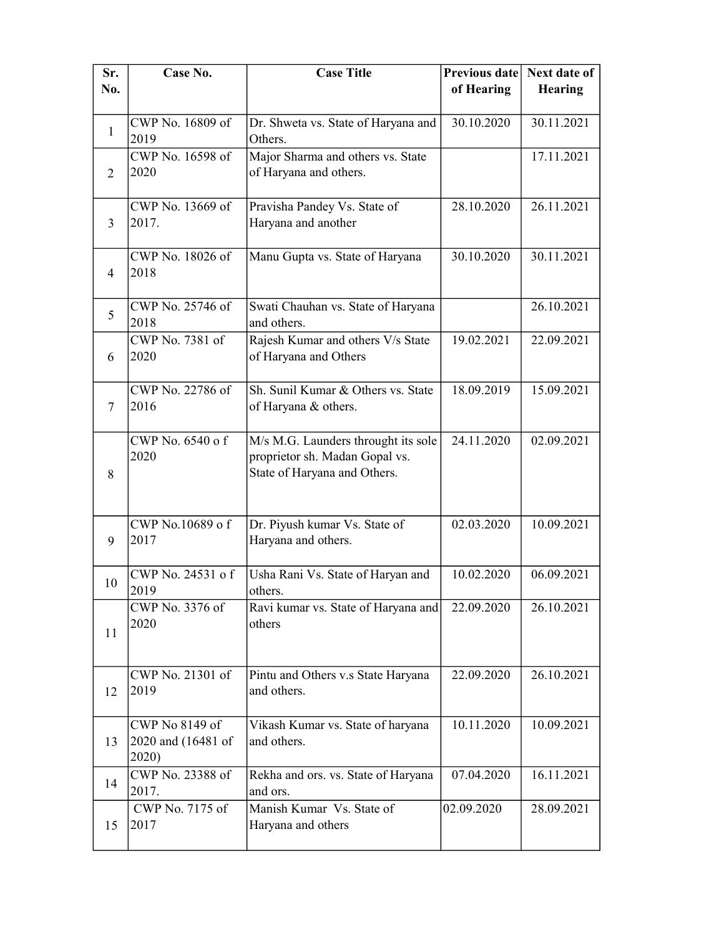| Sr.            | Case No.                  | <b>Case Title</b>                                              | Previous date | Next date of   |
|----------------|---------------------------|----------------------------------------------------------------|---------------|----------------|
| No.            |                           |                                                                | of Hearing    | <b>Hearing</b> |
|                | CWP No. 16809 of          | Dr. Shweta vs. State of Haryana and                            | 30.10.2020    | 30.11.2021     |
| $\mathbf{1}$   | 2019                      | Others.                                                        |               |                |
|                | CWP No. 16598 of          | Major Sharma and others vs. State                              |               | 17.11.2021     |
| 2              | 2020                      | of Haryana and others.                                         |               |                |
|                | CWP No. 13669 of          | Pravisha Pandey Vs. State of                                   | 28.10.2020    | 26.11.2021     |
| 3              | 2017.                     | Haryana and another                                            |               |                |
|                | CWP No. 18026 of          | Manu Gupta vs. State of Haryana                                | 30.10.2020    | 30.11.2021     |
| $\overline{4}$ | 2018                      |                                                                |               |                |
|                |                           |                                                                |               |                |
| 5              | CWP No. 25746 of          | Swati Chauhan vs. State of Haryana                             |               | 26.10.2021     |
|                | 2018<br>CWP No. 7381 of   | and others.<br>Rajesh Kumar and others V/s State               | 19.02.2021    | 22.09.2021     |
| 6              | 2020                      | of Haryana and Others                                          |               |                |
|                |                           |                                                                |               |                |
| 7              | CWP No. 22786 of<br>2016  | Sh. Sunil Kumar & Others vs. State<br>of Haryana & others.     | 18.09.2019    | 15.09.2021     |
|                |                           |                                                                |               |                |
|                | CWP No. 6540 of           | M/s M.G. Launders throught its sole                            | 24.11.2020    | 02.09.2021     |
|                | 2020                      | proprietor sh. Madan Gopal vs.<br>State of Haryana and Others. |               |                |
| 8              |                           |                                                                |               |                |
|                |                           |                                                                |               |                |
|                | CWP No.10689 of           | Dr. Piyush kumar Vs. State of                                  | 02.03.2020    | 10.09.2021     |
| 9              | 2017                      | Haryana and others.                                            |               |                |
| 10             | CWP No. 24531 of          | Usha Rani Vs. State of Haryan and                              | 10.02.2020    | 06.09.2021     |
|                | 2019                      | others.                                                        |               |                |
|                | CWP No. 3376 of<br>2020   | Ravi kumar vs. State of Haryana and<br>others                  | 22.09.2020    | 26.10.2021     |
| 11             |                           |                                                                |               |                |
|                |                           |                                                                |               |                |
| 12             | CWP No. 21301 of<br>2019  | Pintu and Others v.s State Haryana<br>and others.              | 22.09.2020    | 26.10.2021     |
|                |                           |                                                                |               |                |
|                | CWP No 8149 of            | Vikash Kumar vs. State of haryana                              | 10.11.2020    | 10.09.2021     |
| 13             | 2020 and (16481 of        | and others.                                                    |               |                |
|                | 2020)<br>CWP No. 23388 of | Rekha and ors. vs. State of Haryana                            | 07.04.2020    | 16.11.2021     |
| 14             | 2017.                     | and ors.                                                       |               |                |
|                | CWP No. 7175 of           | Manish Kumar Vs. State of                                      | 02.09.2020    | 28.09.2021     |
| 15             | 2017                      | Haryana and others                                             |               |                |
|                |                           |                                                                |               |                |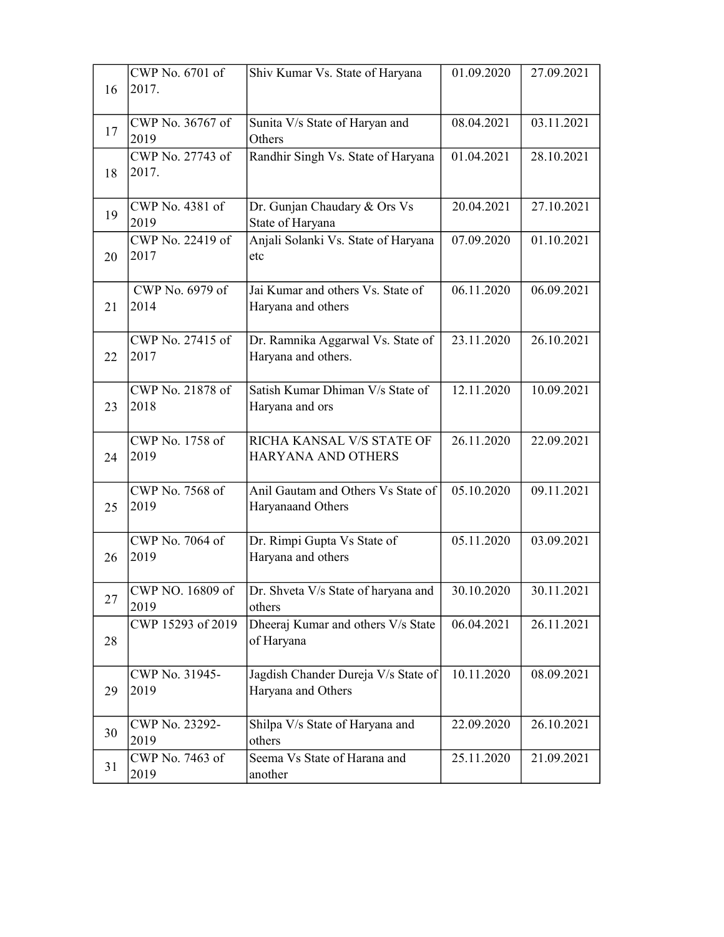|    | CWP No. 6701 of           | Shiv Kumar Vs. State of Haryana                          | 01.09.2020 | 27.09.2021 |
|----|---------------------------|----------------------------------------------------------|------------|------------|
| 16 | 2017.                     |                                                          |            |            |
|    |                           |                                                          |            |            |
| 17 | CWP No. 36767 of<br>2019  | Sunita V/s State of Haryan and<br>Others                 | 08.04.2021 | 03.11.2021 |
|    | CWP No. 27743 of          | Randhir Singh Vs. State of Haryana                       | 01.04.2021 | 28.10.2021 |
| 18 | 2017.                     |                                                          |            |            |
| 19 | CWP No. 4381 of           | Dr. Gunjan Chaudary & Ors Vs                             | 20.04.2021 | 27.10.2021 |
|    | 2019<br>CWP No. 22419 of  | State of Haryana                                         | 07.09.2020 |            |
| 20 | 2017                      | Anjali Solanki Vs. State of Haryana<br>etc               |            | 01.10.2021 |
|    |                           |                                                          |            |            |
|    | CWP No. 6979 of           | Jai Kumar and others Vs. State of                        | 06.11.2020 | 06.09.2021 |
| 21 | 2014                      | Haryana and others                                       |            |            |
|    | CWP No. 27415 of          |                                                          | 23.11.2020 | 26.10.2021 |
| 22 | 2017                      | Dr. Ramnika Aggarwal Vs. State of<br>Haryana and others. |            |            |
|    |                           |                                                          |            |            |
|    | CWP No. 21878 of          | Satish Kumar Dhiman V/s State of                         | 12.11.2020 | 10.09.2021 |
| 23 | 2018                      | Haryana and ors                                          |            |            |
|    | CWP No. 1758 of           | RICHA KANSAL V/S STATE OF                                | 26.11.2020 | 22.09.2021 |
| 24 | 2019                      | HARYANA AND OTHERS                                       |            |            |
|    |                           |                                                          |            |            |
|    | CWP No. 7568 of           | Anil Gautam and Others Vs State of                       | 05.10.2020 | 09.11.2021 |
| 25 | 2019                      | Haryanaand Others                                        |            |            |
|    | CWP No. 7064 of           | Dr. Rimpi Gupta Vs State of                              | 05.11.2020 | 03.09.2021 |
| 26 | 2019                      | Haryana and others                                       |            |            |
|    |                           |                                                          |            |            |
| 27 | CWP NO. 16809 of          | Dr. Shveta V/s State of haryana and                      | 30.10.2020 | 30.11.2021 |
|    | 2019<br>CWP 15293 of 2019 | others<br>Dheeraj Kumar and others V/s State             | 06.04.2021 | 26.11.2021 |
| 28 |                           | of Haryana                                               |            |            |
|    |                           |                                                          |            |            |
|    | CWP No. 31945-            | Jagdish Chander Dureja V/s State of                      | 10.11.2020 | 08.09.2021 |
| 29 | 2019                      | Haryana and Others                                       |            |            |
|    | CWP No. 23292-            | Shilpa V/s State of Haryana and                          | 22.09.2020 | 26.10.2021 |
| 30 | 2019                      | others                                                   |            |            |
|    | CWP No. 7463 of           | Seema Vs State of Harana and                             | 25.11.2020 | 21.09.2021 |
| 31 | 2019                      | another                                                  |            |            |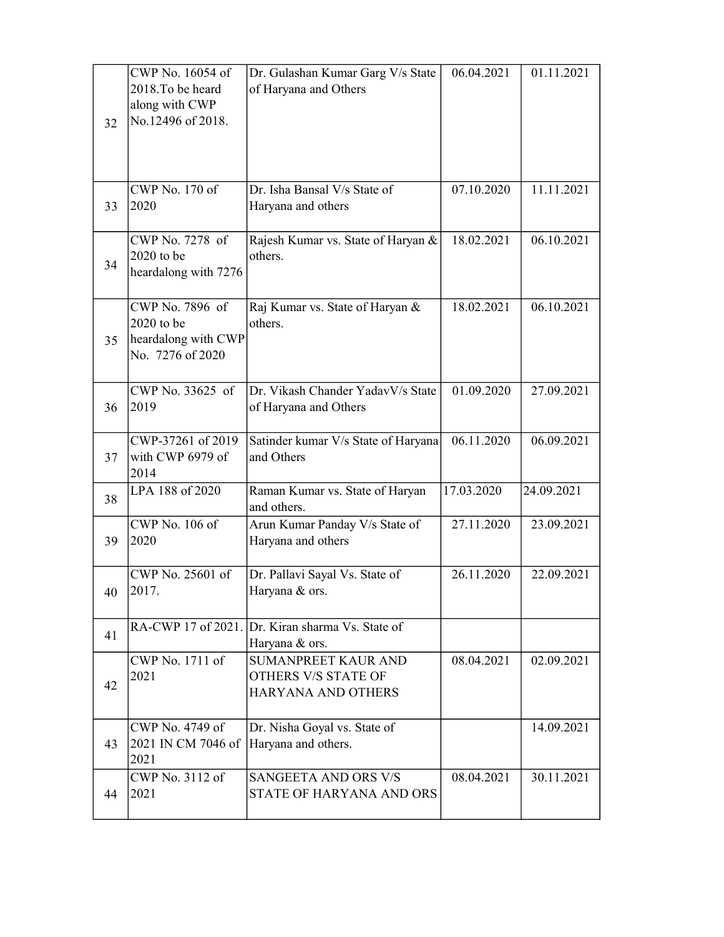| 32 | CWP No. 16054 of<br>2018. To be heard<br>along with CWP<br>No.12496 of 2018. | Dr. Gulashan Kumar Garg V/s State<br>of Haryana and Others              | 06.04.2021 | 01.11.2021 |
|----|------------------------------------------------------------------------------|-------------------------------------------------------------------------|------------|------------|
| 33 | CWP No. 170 of<br>2020                                                       | Dr. Isha Bansal V/s State of<br>Haryana and others                      | 07.10.2020 | 11.11.2021 |
| 34 | CWP No. 7278 of<br>$2020$ to be<br>heardalong with 7276                      | Rajesh Kumar vs. State of Haryan &<br>others.                           | 18.02.2021 | 06.10.2021 |
| 35 | CWP No. 7896 of<br>2020 to be<br>heardalong with CWP<br>No. 7276 of 2020     | Raj Kumar vs. State of Haryan &<br>others.                              | 18.02.2021 | 06.10.2021 |
| 36 | CWP No. 33625 of<br>2019                                                     | Dr. Vikash Chander YadavV/s State<br>of Haryana and Others              | 01.09.2020 | 27.09.2021 |
| 37 | CWP-37261 of 2019<br>with CWP 6979 of<br>2014                                | Satinder kumar V/s State of Haryana<br>and Others                       | 06.11.2020 | 06.09.2021 |
| 38 | LPA 188 of 2020                                                              | Raman Kumar vs. State of Haryan<br>and others.                          | 17.03.2020 | 24.09.2021 |
| 39 | CWP No. 106 of<br>2020                                                       | Arun Kumar Panday V/s State of<br>Haryana and others                    | 27.11.2020 | 23.09.2021 |
| 40 | CWP No. 25601 of<br>2017.                                                    | Dr. Pallavi Sayal Vs. State of<br>Haryana & ors.                        | 26.11.2020 | 22.09.2021 |
| 41 |                                                                              | RA-CWP 17 of 2021. Dr. Kiran sharma Vs. State of<br>Haryana & ors.      |            |            |
| 42 | CWP No. 1711 of<br>2021                                                      | SUMANPREET KAUR AND<br><b>OTHERS V/S STATE OF</b><br>HARYANA AND OTHERS | 08.04.2021 | 02.09.2021 |
| 43 | CWP No. 4749 of<br>2021 IN CM 7046 of<br>2021                                | Dr. Nisha Goyal vs. State of<br>Haryana and others.                     |            | 14.09.2021 |
| 44 | CWP No. 3112 of<br>2021                                                      | SANGEETA AND ORS V/S<br>STATE OF HARYANA AND ORS                        | 08.04.2021 | 30.11.2021 |